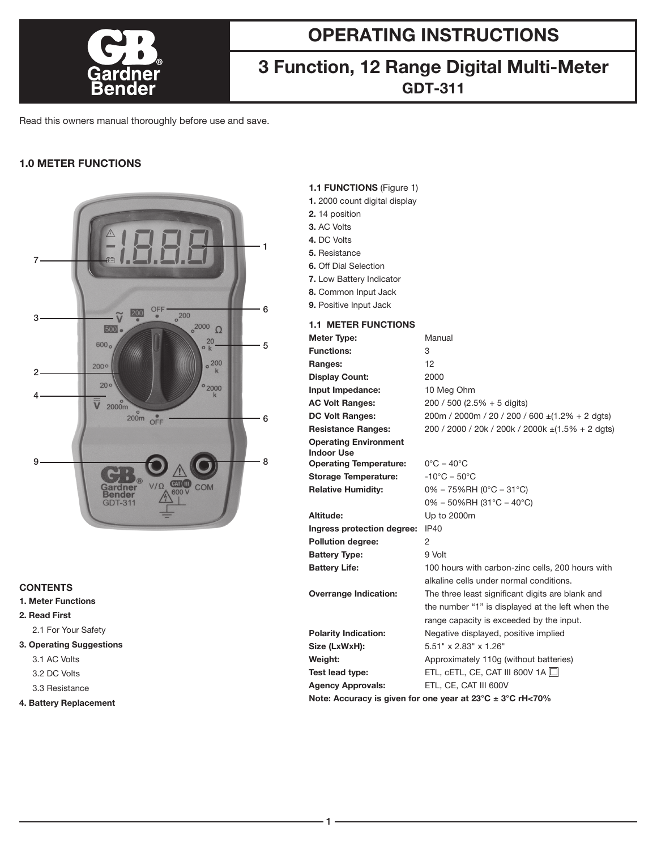

# **OPERATING INSTRUCTIONS**

# **3 Function, 12 Range Digital Multi-Meter GDT-311**

Read this owners manual thoroughly before use and save.

## **1.0 METER FUNCTIONS**



## **CONTENTS**

- **1. Meter Functions**
- **2. Read First**

2.1 For Your Safety

### **3. Operating Suggestions**

- 3.1 AC Volts
- 3.2 DC Volts
- 3.3 Resistance
- **4. Battery Replacement**

## **1.1 FUNCTIONS** (Figure 1)

- **1.** 2000 count digital display
- **2.** 14 position
- **3.** AC Volts
- **4.** DC Volts
- **5.** Resistance
- **6.** Off Dial Selection
- **7.** Low Battery Indicator
- **8.** Common Input Jack
- **9.** Positive Input Jack

### **1.1 METER FUNCTIONS**

| <b>Meter Type:</b>                                        | Manual                                                      |
|-----------------------------------------------------------|-------------------------------------------------------------|
| <b>Functions:</b>                                         | 3                                                           |
| Ranges:                                                   | 12                                                          |
| <b>Display Count:</b>                                     | 2000                                                        |
| Input Impedance:                                          | 10 Meg Ohm                                                  |
| <b>AC Volt Ranges:</b>                                    | $200 / 500$ (2.5% + 5 digits)                               |
| <b>DC Volt Ranges:</b>                                    | $200m / 2000m / 20 / 200 / 600 \pm (1.2\% + 2 \text{ d}gt)$ |
| <b>Resistance Ranges:</b>                                 | 200 / 2000 / 20k / 200k / 2000k ± (1.5% + 2 dgts)           |
| <b>Operating Environment</b><br><b>Indoor Use</b>         |                                                             |
| <b>Operating Temperature:</b>                             | $0^{\circ}$ C – 40 $^{\circ}$ C                             |
| <b>Storage Temperature:</b>                               | $-10^{\circ}$ C – 50 $^{\circ}$ C                           |
| <b>Relative Humidity:</b>                                 | $0\% - 75\%$ RH (0°C – 31°C)                                |
|                                                           | $0\% - 50\%$ RH (31°C - 40°C)                               |
| Altitude:                                                 | Up to 2000m                                                 |
| Ingress protection degree:                                | IP40                                                        |
| <b>Pollution degree:</b>                                  | 2                                                           |
| <b>Battery Type:</b>                                      | $9$ Volt                                                    |
| <b>Battery Life:</b>                                      | 100 hours with carbon-zinc cells, 200 hours with            |
|                                                           | alkaline cells under normal conditions.                     |
| <b>Overrange Indication:</b>                              | The three least significant digits are blank and            |
|                                                           | the number "1" is displayed at the left when the            |
|                                                           | range capacity is exceeded by the input.                    |
| <b>Polarity Indication:</b>                               | Negative displayed, positive implied                        |
| Size (LxWxH):                                             | 5.51" x 2.83" x 1.26"                                       |
| Weight:                                                   | Approximately 110g (without batteries)                      |
| Test lead type:                                           | ETL, CETL, CE, CAT III 600V 1A $\Box$                       |
| <b>Agency Approvals:</b>                                  | ETL, CE, CAT III 600V                                       |
| Note: Accuracy is given for one year at 23°C ± 3°C rH<70% |                                                             |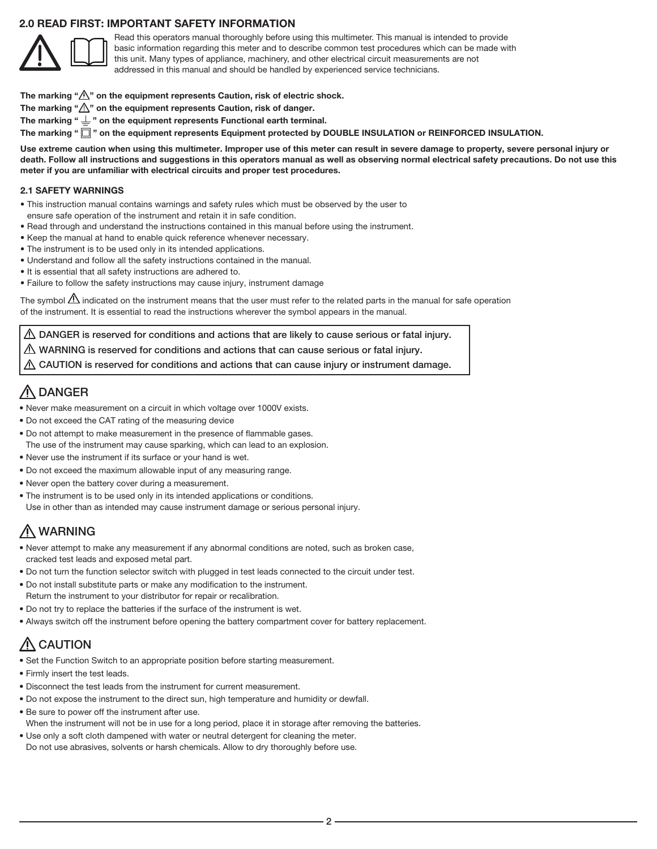### **2.0 READ FIRST: IMPORTANT SAFETY INFORMATION**



Read this operators manual thoroughly before using this multimeter. This manual is intended to provide basic information regarding this meter and to describe common test procedures which can be made with this unit. Many types of appliance, machinery, and other electrical circuit measurements are not addressed in this manual and should be handled by experienced service technicians.

- The marking " $\hat{\mathbb{A}}$ " on the equipment represents Caution, risk of electric shock.
- The marking " $\bigwedge$ " on the equipment represents Caution, risk of danger.
- The marking " $\perp$ " on the equipment represents Functional earth terminal.

The marking " $\square$ " on the equipment represents Equipment protected by DOUBLE INSULATION or REINFORCED INSULATION.

**Use extreme caution when using this multimeter. Improper use of this meter can result in severe damage to property, severe personal injury or death. Follow all instructions and suggestions in this operators manual as well as observing normal electrical safety precautions. Do not use this meter if you are unfamiliar with electrical circuits and proper test procedures.**

### **2.1 SAFETY WARNINGS**

- This instruction manual contains warnings and safety rules which must be observed by the user to ensure safe operation of the instrument and retain it in safe condition.
- Read through and understand the instructions contained in this manual before using the instrument.
- Keep the manual at hand to enable quick reference whenever necessary.
- The instrument is to be used only in its intended applications.
- Understand and follow all the safety instructions contained in the manual.
- It is essential that all safety instructions are adhered to.
- Failure to follow the safety instructions may cause injury, instrument damage

The symbol  $\Delta$  indicated on the instrument means that the user must refer to the related parts in the manual for safe operation of the instrument. It is essential to read the instructions wherever the symbol appears in the manual.

 $\triangle$  DANGER is reserved for conditions and actions that are likely to cause serious or fatal injury.

 $\triangle$  WARNING is reserved for conditions and actions that can cause serious or fatal injury.

 $\triangle$  CAUTION is reserved for conditions and actions that can cause injury or instrument damage.

## A DANGER

- Never make measurement on a circuit in which voltage over 1000V exists.
- Do not exceed the CAT rating of the measuring device
- Do not attempt to make measurement in the presence of flammable gases. The use of the instrument may cause sparking, which can lead to an explosion.
- Never use the instrument if its surface or your hand is wet.
- Do not exceed the maximum allowable input of any measuring range.
- Never open the battery cover during a measurement.
- The instrument is to be used only in its intended applications or conditions. Use in other than as intended may cause instrument damage or serious personal injury.

## A WARNING

- Never attempt to make any measurement if any abnormal conditions are noted, such as broken case, cracked test leads and exposed metal part.
- Do not turn the function selector switch with plugged in test leads connected to the circuit under test.
- Do not install substitute parts or make any modification to the instrument. Return the instrument to your distributor for repair or recalibration.
- Do not try to replace the batteries if the surface of the instrument is wet.
- Always switch off the instrument before opening the battery compartment cover for battery replacement.

# A CAUTION

- Set the Function Switch to an appropriate position before starting measurement.
- Firmly insert the test leads.
- Disconnect the test leads from the instrument for current measurement.
- Do not expose the instrument to the direct sun, high temperature and humidity or dewfall.
- Be sure to power off the instrument after use.
- When the instrument will not be in use for a long period, place it in storage after removing the batteries.
- Use only a soft cloth dampened with water or neutral detergent for cleaning the meter. Do not use abrasives, solvents or harsh chemicals. Allow to dry thoroughly before use.